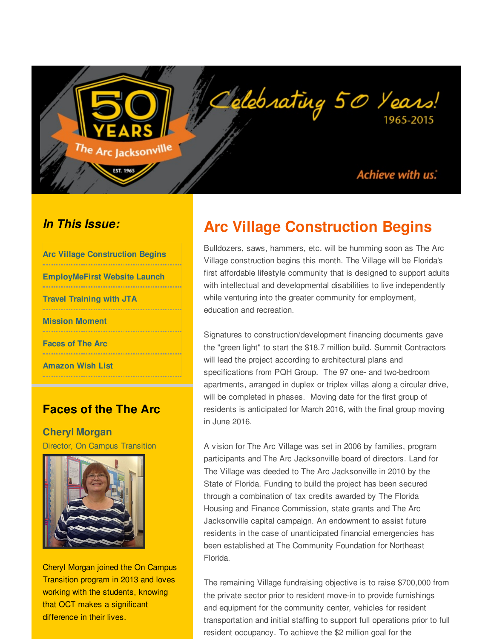Achieve with us:

1965-2015

#### *In This Issue:*

| <b>Arc Village Construction Begins</b>     |
|--------------------------------------------|
| <b>EmployMeFirst Website Launch</b>        |
| <b>Travel Training with JTA</b>            |
| <b>Mission Moment</b><br>----------------- |
| <b>Faces of The Arc</b>                    |
| <b>Amazon Wish List</b>                    |

<span id="page-0-0"></span>The Arc Jacksonvill<sup>e</sup>

**EST. 1965** 

#### **Faces of the The Arc**

**Cheryl Morgan** Director, On Campus Transition



Cheryl Morgan joined the On Campus Transition program in 2013 and loves working with the students, knowing that OCT makes a significant difference in their lives.

# **Arc Village Construction Begins**

Celebrating 50 Years!

Bulldozers, saws, hammers, etc. will be humming soon as The Arc Village construction begins this month. The Village will be Florida's first affordable lifestyle community that is designed to support adults with intellectual and developmental disabilities to live independently while venturing into the greater community for employment, education and recreation.

Signatures to construction/development financing documents gave the "green light" to start the \$18.7 million build. Summit Contractors will lead the project according to architectural plans and specifications from PQH Group. The 97 one- and two-bedroom apartments, arranged in duplex or triplex villas along a circular drive, will be completed in phases. Moving date for the first group of residents is anticipated for March 2016, with the final group moving in June 2016.

A vision for The Arc Village was set in 2006 by families, program participants and The Arc Jacksonville board of directors. Land for The Village was deeded to The Arc Jacksonville in 2010 by the State of Florida. Funding to build the project has been secured through a combination of tax credits awarded by The Florida Housing and Finance Commission, state grants and The Arc Jacksonville capital campaign. An endowment to assist future residents in the case of unanticipated financial emergencies has been established at The Community Foundation for Northeast Florida.

The remaining Village fundraising objective is to raise \$700,000 from the private sector prior to resident move-in to provide furnishings and equipment for the community center, vehicles for resident transportation and initial staffing to support full operations prior to full resident occupancy. To achieve the \$2 million goal for the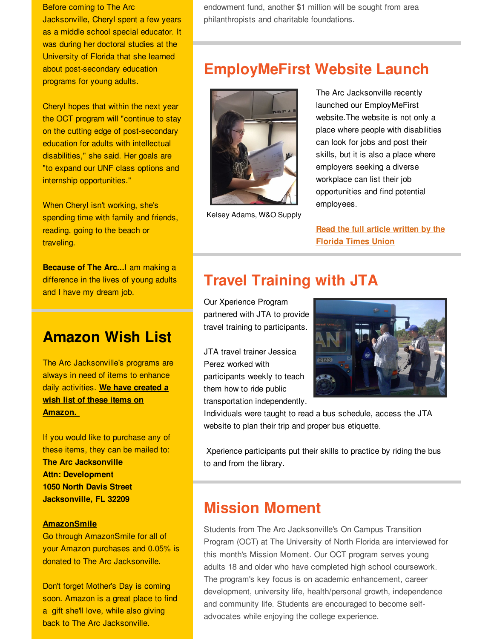Before coming to The Arc Jacksonville, Cheryl spent a few years as a middle school special educator. It was during her doctoral studies at the University of Florida that she learned about post-secondary education programs for young adults.

Cheryl hopes that within the next year the OCT program will "continue to stay on the cutting edge of post-secondary education for adults with intellectual disabilities," she said. Her goals are "to expand our UNF class options and internship opportunities."

When Cheryl isn't working, she's spending time with family and friends, reading, going to the beach or traveling.

**Because of The Arc...**I am making a difference in the lives of young adults and I have my dream job.

## **Amazon Wish List**

The Arc Jacksonville's programs are always in need of items to enhance daily [activities.](http://r20.rs6.net/tn.jsp?f=001y1ltD-1ldJDzDiVwNHG-Es5HooYJqU2RTJRjSvwn_LiyjeQXwVNZuHyBiwb4UAcTqm_qo_31JdhJA6XlImAfM37CeoBN_P8heJMjaxmLW5-n0Ot5ghG6u3IMNOaYffN4RsLfKKI3iefK5lf2UDNlSb34ojq7lDtE9T_wV-E9hlD60HSNW9wDgxNDb6EokmOEurSqu_hVnRQRUhQAiV_foVD1_vxDPWirFEg-aQAV0ClbwcbqluS03mqSyhPMSEW5A1SLYmxcXynXAi1JqCAUzBEem7wy8ZPfLubwS1LHiIqB2vFUDN3AwahrP9IRhy_UWHg5Ibpvk8_eqaorYIDf7m_bglIuwblaeGrTmeiW2DscCm_tviaxOeLk_YVQ69ShXXX3zxzSosxKJNwgVcDBg0piQlKsthZo&c=&ch=) **We have created a wish list of these items on Amazon.**

If you would like to purchase any of these items, they can be mailed to: **The Arc Jacksonville Attn: Development 1050 North Davis Street Jacksonville, FL 32209**

#### **[AmazonSmile](http://r20.rs6.net/tn.jsp?f=001y1ltD-1ldJDzDiVwNHG-Es5HooYJqU2RTJRjSvwn_LiyjeQXwVNZuPXtJySvREJkavB_6EI_jQ-HMLZPnJMproKmSeMaL-TFXysJDpKIObRdNQc6ldTDAGTWvstsAzG1aEaPQbkjkWxx7o3bORNoxGvY6ep0BEHzXSawOxIX6dXhsRtMiMKdt2NHfPgmiWZAmBFImMEjafS62LlNQK3jlIGHWvPcoBtrvboV_jyXrHjPFFUGkCHdtigiW9t4VyhP1L71mR3hSMh_TUep3SLATmpvgtG11OSHcPxfKpTqGbkaDgbrsobIA6amMHE6tM42a-22wtPu3Pz4JAPEjFXDBcvGBhqQ_woctI9xM321BZPQtaOBtbxXlAEEJSvvAUeFJZbT9XPX5zI=&c=&ch=)**

Go through AmazonSmile for all of your Amazon purchases and 0.05% is donated to The Arc Jacksonville.

Don't forget Mother's Day is coming soon. Amazon is a great place to find a gift she'll love, while also giving back to The Arc Jacksonville.

endowment fund, another \$1 million will be sought from area philanthropists and charitable foundations.

## **EmployMeFirst Website Launch**



Kelsey Adams, W&O Supply

The Arc Jacksonville recently launched our EmployMeFirst website.The website is not only a place where people with disabilities can look for jobs and post their skills, but it is also a place where employers seeking a diverse workplace can list their job opportunities and find potential employees.

**Read the full article written by the [Florida](http://r20.rs6.net/tn.jsp?f=001y1ltD-1ldJDzDiVwNHG-Es5HooYJqU2RTJRjSvwn_LiyjeQXwVNZuBHWcsKPyFfiRnxnOW-43QksX2f_PjOFC44i4-pZeFGDLRO8ruo3OMcNxoG63W8_1sxucYsPy0OeQkyZ0QBI_lpFI5_PmAyp1EKMO6qF61LXT9s0gmR46FnJj4Z1xVsjbAUJoRN1i-AfPN8O4Qp_esIwAXUs5MJNuMO4kdSlHUfKeUITgtr2btvqFRZdqyxvcUU8LRUGzf-yFUVHGTSjI3Af7bcjlnip_5ifCWyY0a0OEL4XcIWw2Bc14Tfysv6PncMsKQWAVBTqHrQR2CloGDrLjfGvF8styGG510j3b8YkHJTF4IKFkEe7o96Y_95UjhTTMcLjMGFFwBuu27CXnX9gRPzd9j_FG-68uaUqmUgQi3sEIeMUoa0QOWoY-CUVNy36kx8K8nblNe7eXlYKZQ4=&c=&ch=) Times Union**

# **Travel Training with JTA**

Our Xperience Program partnered with JTA to provide travel training to participants.

JTA travel trainer Jessica Perez worked with participants weekly to teach them how to ride public transportation independently.



Individuals were taught to read a bus schedule, access the JTA website to plan their trip and proper bus etiquette.

Xperience participants put their skills to practice by riding the bus to and from the library.

# **Mission Moment**

Students from The Arc Jacksonville's On Campus Transition Program (OCT) at The University of North Florida are interviewed for this month's Mission Moment. Our OCT program serves young adults 18 and older who have completed high school coursework. The program's key focus is on academic enhancement, career development, university life, health/personal growth, independence and community life. Students are encouraged to become selfadvocates while enjoying the college experience.